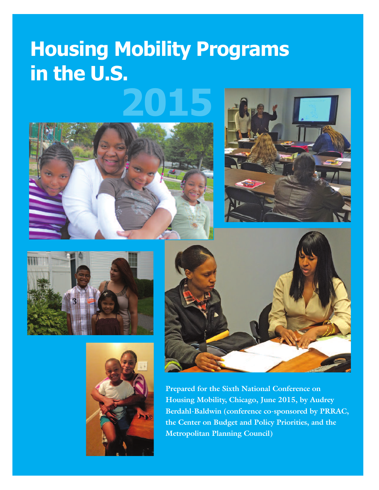# **Housing Mobility Programs in the U.S.**











**Prepared for the Sixth National Conference on Housing Mobility, Chicago, June 2015, by Audrey Berdahl-Baldwin (conference co-sponsored by PRRAC, the Center on Budget and Policy Priorities, and the Metropolitan Planning Council)**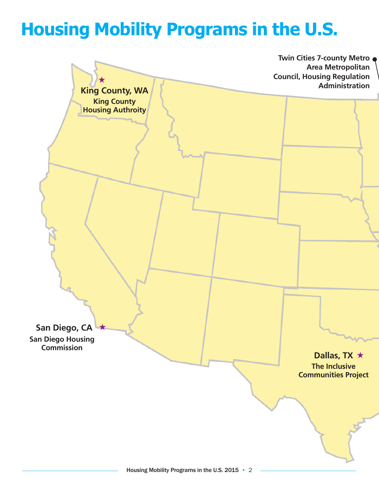# **Housing Mobility Programs in the U.S.**

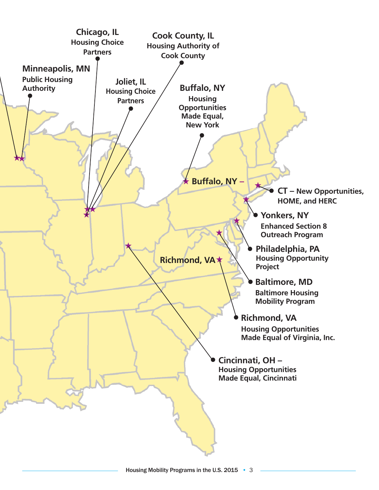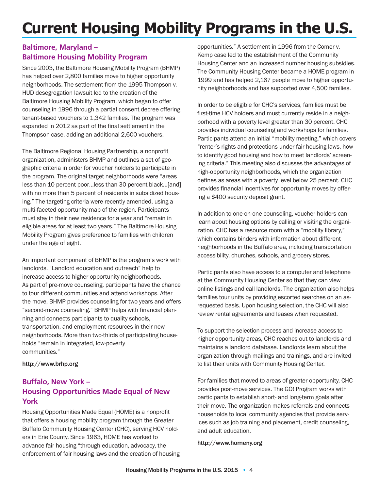## **Current Housing Mobility Programs in the U.S.**

#### **Baltimore, Maryland – Baltimore Housing Mobility Program**

Since 2003, the Baltimore Housing Mobility Program (BHMP) has helped over 2,800 families move to higher opportunity neighborhoods. The settlement from the 1995 Thompson v. HUD desegregation lawsuit led to the creation of the Baltimore Housing Mobility Program, which began to offer counseling in 1996 through a partial consent decree offering tenant-based vouchers to 1,342 families. The program was expanded in 2012 as part of the final settlement in the Thompson case, adding an additional 2,600 vouchers.

The Baltimore Regional Housing Partnership, a nonprofit organization, administers BHMP and outlines a set of geographic criteria in order for voucher holders to participate in the program. The original target neighborhoods were "areas less than 10 percent poor…less than 30 percent black…[and] with no more than 5 percent of residents in subsidized housing." The targeting criteria were recently amended, using a multi-faceted opportunity map of the region. Participants must stay in their new residence for a year and "remain in eligible areas for at least two years." The Baltimore Housing Mobility Program gives preference to families with children under the age of eight.

An important component of BHMP is the program's work with landlords. "Landlord education and outreach" help to increase access to higher opportunity neighborhoods. As part of pre-move counseling, participants have the chance to tour different communities and attend workshops. After the move, BHMP provides counseling for two years and offers "second-move counseling." BHMP helps with financial planning and connects participants to quality schools, transportation, and employment resources in their new neighborhoods. More than two-thirds of participating households "remain in integrated, low-poverty communities."

#### http://www.brhp.org

### **Buffalo, New York – Housing Opportunities Made Equal of New York**

Housing Opportunities Made Equal (HOME) is a nonprofit that offers a housing mobility program through the Greater Buffalo Community Housing Center (CHC), serving HCV holders in Erie County. Since 1963, HOME has worked to advance fair housing "through education, advocacy, the enforcement of fair housing laws and the creation of housing opportunities." A settlement in 1996 from the Comer v. Kemp case led to the establishment of the Community Housing Center and an increased number housing subsidies. The Community Housing Center became a HOME program in 1999 and has helped 2,167 people move to higher opportunity neighborhoods and has supported over 4,500 families.

In order to be eligible for CHC's services, families must be first-time HCV holders and must currently reside in a neighborhood with a poverty level greater than 30 percent. CHC provides individual counseling and workshops for families. Participants attend an initial "mobility meeting," which covers "renter's rights and protections under fair housing laws, how to identify good housing and how to meet landlords' screening criteria." This meeting also discusses the advantages of high-opportunity neighborhoods, which the organization defines as areas with a poverty level below 25 percent. CHC provides financial incentives for opportunity moves by offering a \$400 security deposit grant.

In addition to one-on-one counseling, voucher holders can learn about housing options by calling or visiting the organization. CHC has a resource room with a "mobility library," which contains binders with information about different neighborhoods in the Buffalo area, including transportation accessibility, churches, schools, and grocery stores.

Participants also have access to a computer and telephone at the Community Housing Center so that they can view online listings and call landlords. The organization also helps families tour units by providing escorted searches on an asrequested basis. Upon housing selection, the CHC will also review rental agreements and leases when requested.

To support the selection process and increase access to higher opportunity areas, CHC reaches out to landlords and maintains a landlord database. Landlords learn about the organization through mailings and trainings, and are invited to list their units with Community Housing Center.

For families that moved to areas of greater opportunity, CHC provides post-move services. The GO! Program works with participants to establish short- and long-term goals after their move. The organization makes referrals and connects households to local community agencies that provide services such as job training and placement, credit counseling, and adult education.

http://www.homeny.org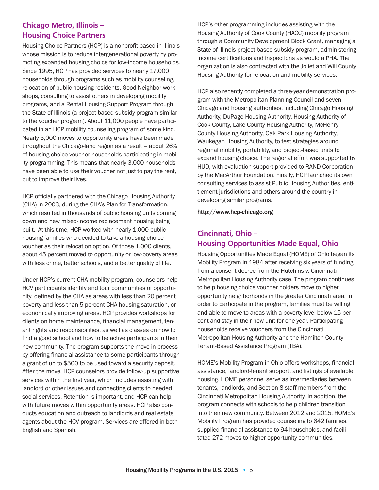#### **Chicago Metro, Illinois – Housing Choice Partners**

Housing Choice Partners (HCP) is a nonprofit based in Illinois whose mission is to reduce intergenerational poverty by promoting expanded housing choice for low-income households. Since 1995, HCP has provided services to nearly 17,000 households through programs such as mobility counseling, relocation of public housing residents, Good Neighbor workshops, consulting to assist others in developing mobility programs, and a Rental Housing Support Program through the State of Illinois (a project-based subsidy program similar to the voucher program). About 11,000 people have participated in an HCP mobility counseling program of some kind. Nearly 3,000 moves to opportunity areas have been made throughout the Chicago-land region as a result – about 26% of housing choice voucher households participating in mobility programming. This means that nearly 3,000 households have been able to use their voucher not just to pay the rent, but to improve their lives.

HCP officially partnered with the Chicago Housing Authority (CHA) in 2003, during the CHA's Plan for Transformation, which resulted in thousands of public housing units coming down and new mixed-income replacement housing being built. At this time, HCP worked with nearly 1,000 public housing families who decided to take a housing choice voucher as their relocation option. Of those 1,000 clients, about 45 percent moved to opportunity or low-poverty areas with less crime, better schools, and a better quality of life.

Under HCP's current CHA mobility program, counselors help HCV participants identify and tour communities of opportunity, defined by the CHA as areas with less than 20 percent poverty and less than 5 percent CHA housing saturation, or economically improving areas. HCP provides workshops for clients on home maintenance, financial management, tenant rights and responsibilities, as well as classes on how to find a good school and how to be active participants in their new community. The program supports the move-in process by offering financial assistance to some participants through a grant of up to \$500 to be used toward a security deposit. After the move, HCP counselors provide follow-up supportive services within the first year, which includes assisting with landlord or other issues and connecting clients to needed social services. Retention is important, and HCP can help with future moves within opportunity areas. HCP also conducts education and outreach to landlords and real estate agents about the HCV program. Services are offered in both English and Spanish.

HCP's other programming includes assisting with the Housing Authority of Cook County (HACC) mobility program through a Community Development Block Grant, managing a State of Illinois project-based subsidy program, administering income certifications and inspections as would a PHA. The organization is also contracted with the Joliet and Will County Housing Authority for relocation and mobility services.

HCP also recently completed a three-year demonstration program with the Metropolitan Planning Council and seven Chicagoland housing authorities, including Chicago Housing Authority, DuPage Housing Authority, Housing Authority of Cook County, Lake County Housing Authority, McHenry County Housing Authority, Oak Park Housing Authority, Waukegan Housing Authority, to test strategies around regional mobility, portability, and project-based units to expand housing choice. The regional effort was supported by HUD, with evaluation support provided to RAND Corporation by the MacArthur Foundation. Finally, HCP launched its own consulting services to assist Public Housing Authorities, entitlement jurisdictions and others around the country in developing similar programs.

http://www.hcp-chicago.org

#### **Cincinnati, Ohio – Housing Opportunities Made Equal, Ohio**

Housing Opportunities Made Equal (HOME) of Ohio began its Mobility Program in 1984 after receiving six years of funding from a consent decree from the Hutchins v. Cincinnati Metropolitan Housing Authority case. The program continues to help housing choice voucher holders move to higher opportunity neighborhoods in the greater Cincinnati area. In order to participate in the program, families must be willing and able to move to areas with a poverty level below 15 percent and stay in their new unit for one year. Participating households receive vouchers from the Cincinnati Metropolitan Housing Authority and the Hamilton County Tenant-Based Assistance Program (TBA).

HOME's Mobility Program in Ohio offers workshops, financial assistance, landlord-tenant support, and listings of available housing. HOME personnel serve as intermediaries between tenants, landlords, and Section 8 staff members from the Cincinnati Metropolitan Housing Authority. In addition, the program connects with schools to help children transition into their new community. Between 2012 and 2015, HOME's Mobility Program has provided counseling to 642 families, supplied financial assistance to 94 households, and facilitated 272 moves to higher opportunity communities.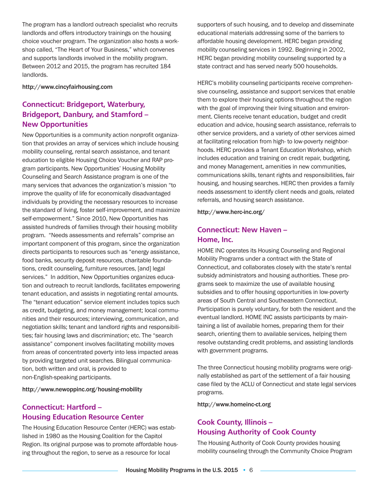The program has a landlord outreach specialist who recruits landlords and offers introductory trainings on the housing choice voucher program. The organization also hosts a workshop called, "The Heart of Your Business," which convenes and supports landlords involved in the mobility program. Between 2012 and 2015, the program has recruited 184 landlords.

http://www.cincyfairhousing.com

## **Connecticut: Bridgeport, Waterbury, Bridgeport, Danbury, and Stamford – New Opportunities**

New Opportunities is a community action nonprofit organization that provides an array of services which include housing mobility counseling, rental search assistance, and tenant education to eligible Housing Choice Voucher and RAP program participants. New Opportunities' Housing Mobility Counseling and Search Assistance program is one of the many services that advances the organization's mission "to improve the quality of life for economically disadvantaged individuals by providing the necessary resources to increase the standard of living, foster self-improvement, and maximize self-empowerment." Since 2010, New Opportunities has assisted hundreds of families through their housing mobility program. "Needs assessments and referrals" comprise an important component of this program, since the organization directs participants to resources such as "energy assistance, food banks, security deposit resources, charitable foundations, credit counseling, furniture resources, [and] legal services." In addition, New Opportunities organizes education and outreach to recruit landlords, facilitates empowering tenant education, and assists in negotiating rental amounts. The "tenant education" service element includes topics such as credit, budgeting, and money management; local communities and their resources; interviewing, communication, and negotiation skills; tenant and landlord rights and responsibilities; fair housing laws and discrimination; etc. The "search assistance" component involves facilitating mobility moves from areas of concentrated poverty into less impacted areas by providing targeted unit searches. Bilingual communication, both written and oral, is provided to non-English-speaking participants.

http://www.newoppinc.org/housing-mobility

## **Connecticut: Hartford – Housing Education Resource Center**

The Housing Education Resource Center (HERC) was established in 1980 as the Housing Coalition for the Capitol Region. Its original purpose was to promote affordable housing throughout the region, to serve as a resource for local

supporters of such housing, and to develop and disseminate educational materials addressing some of the barriers to affordable housing development. HERC began providing mobility counseling services in 1992. Beginning in 2002, HERC began providing mobility counseling supported by a state contract and has served nearly 500 households.

HERC's mobility counseling participants receive comprehensive counseling, assistance and support services that enable them to explore their housing options throughout the region with the goal of improving their living situation and environment. Clients receive tenant education, budget and credit education and advice, housing search assistance, referrals to other service providers, and a variety of other services aimed at facilitating relocation from high- to low-poverty neighborhoods. HERC provides a Tenant Education Workshop, which includes education and training on credit repair, budgeting, and money Management, amenities in new communities, communications skills, tenant rights and responsibilities, fair housing, and housing searches. HERC then provides a family needs assessment to identify client needs and goals, related referrals, and housing search assistance.

http://www.herc-inc.org/

## **Connecticut: New Haven – Home, Inc.**

HOME INC operates its Housing Counseling and Regional Mobility Programs under a contract with the State of Connecticut, and collaborates closely with the state's rental subsidy administrators and housing authorities. These programs seek to maximize the use of available housing subsidies and to offer housing opportunities in low-poverty areas of South Central and Southeastern Connecticut. Participation is purely voluntary, for both the resident and the eventual landlord. HOME INC assists participants by maintaining a list of available homes, preparing them for their search, orienting them to available services, helping them resolve outstanding credit problems, and assisting landlords with government programs.

The three Connecticut housing mobility programs were originally established as part of the settlement of a fair housing case filed by the ACLU of Connecticut and state legal services programs.

http://www.homeinc-ct.org

## **Cook County, Illinois – Housing Authority of Cook County**

The Housing Authority of Cook County provides housing mobility counseling through the Community Choice Program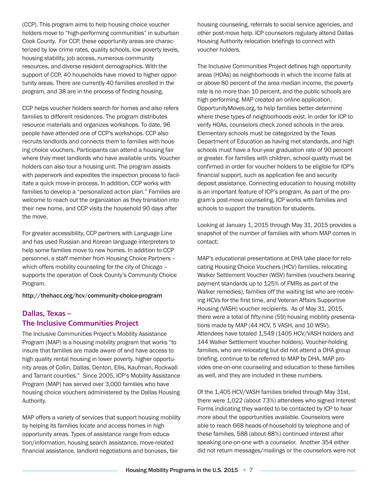(CCP). This program aims to help housing choice voucher holders move to "high-performing communities" in suburban Cook County. For CCP, these opportunity areas are characterized by low crime rates, quality schools, low poverty levels, housing stability, job access, numerous community resources, and diverse resident demographics. With the support of CCP, 40 households have moved to higher opportunity areas. There are currently 40 families enrolled in the program, and 38 are in the process of finding housing.

CCP helps voucher holders search for homes and also refers families to different residences. The program distributes resource materials and organizes workshops. To date, 96 people have attended one of CCP's workshops. CCP also recruits landlords and connects them to families with housing choice vouchers. Participants can attend a housing fair where they meet landlords who have available units. Voucher holders can also tour a housing unit. The program assists with paperwork and expedites the inspection process to facilitate a quick move-in process. In addition, CCP works with families to develop a "personalized action plan." Families are welcome to reach out the organization as they transition into their new home, and CCP visits the household 90 days after the move.

For greater accessibility, CCP partners with Language Line and has used Russian and Korean language interpreters to help some families move to new homes. In addition to CCP personnel, a staff member from Housing Choice Partners – which offers mobility counseling for the city of Chicago – supports the operation of Cook County's Community Choice Program.

http://thehacc.org/hcv/community-choice-program

### **Dallas, Texas – The Inclusive Communities Project**

The Inclusive Communities Project's Mobility Assistance Program (MAP) is a housing mobility program that works "to insure that families are made aware of and have access to high quality rental housing in lower poverty, higher opportunity areas of Collin, Dallas, Denton, Ellis, Kaufman, Rockwall and Tarrant counties." Since 2005, ICP's Mobility Assistance Program (MAP) has served over 3,000 families who have housing choice vouchers administered by the Dallas Housing Authority.

MAP offers a variety of services that support housing mobility by helping its families locate and access homes in high opportunity areas. Types of assistance range from education/information, housing search assistance, move-related financial assistance, landlord negotiations and bonuses, fair

housing counseling, referrals to social service agencies, and other post-move help. ICP counselors regularly attend Dallas Housing Authority relocation briefings to connect with voucher holders.

The Inclusive Communities Project defines high opportunity areas (HOAs) as neighborhoods in which the income falls at or above 80 percent of the area median income, the poverty rate is no more than 10 percent, and the public schools are high performing. MAP created an online application, OpportunityMoves.org, to help families better determine where these types of neighborhoods exist. In order for ICP to verify HOAs, counselors check zoned schools in the area. Elementary schools must be categorized by the Texas Department of Education as having met standards, and high schools must have a four-year graduation rate of 90 percent or greater. For families with children, school quality must be confirmed in order for voucher holders to be eligible for ICP's financial support, such as application fee and security deposit assistance. Connecting education to housing mobility is an important feature of ICP's program. As part of the program's post-move counseling, ICP works with families and schools to support the transition for students.

Looking at January 1, 2015 through May 31, 2015 provides a snapshot of the number of families with whom MAP comes in contact:

MAP's educational presentations at DHA take place for relocating Housing Choice Vouchers (HCV) families, relocating Walker Settlement Voucher (WSV) families (vouchers bearing payment standards up to 125% of FMRs as part of the Walker remedies), families off the waiting list who are receiving HCVs for the first time, and Veteran Affairs Supportive Housing (VASH) voucher recipients. As of May 31, 2015, there were a total of fifty-nine (59) housing mobility presentations made by MAP (44 HCV, 5 VASH, and 10 WSV). Attendees have totaled 1,549 (1405 HCV/VASH holders and 144 Walker Settlement Voucher holders). Voucher-holding families, who are relocating but did not attend a DHA group briefing, continue to be referred to MAP by DHA. MAP provides one-on-one counseling and education to these families as well, and they are included in these numbers.

Of the 1,405 HCV/VASH families briefed through May 31st, there were 1,022 (about 73%) attendees who signed Interest Forms indicating they wanted to be contacted by ICP to hear more about the opportunities available. Counselors were able to reach 668 heads-of-household by telephone and of these families, 588 (about 88%) continued interest after speaking one-on-one with a counselor. Another 354 either did not return messages/mailings or the counselors were not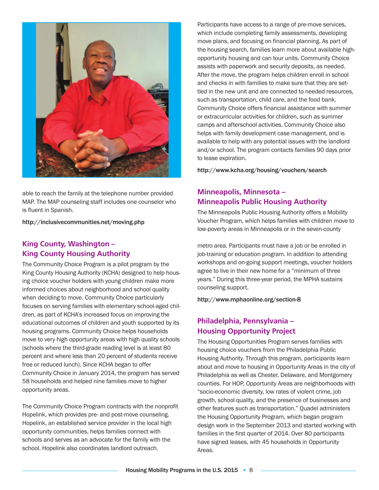

able to reach the family at the telephone number provided MAP. The MAP counseling staff includes one counselor who is fluent in Spanish.

http://inclusivecommunities.net/moving.php

#### **King County, Washington – King County Housing Authority**

The Community Choice Program is a pilot program by the King County Housing Authority (KCHA) designed to help housing choice voucher holders with young children make more informed choices about neighborhood and school quality when deciding to move. Community Choice particularly focuses on serving families with elementary school-aged children, as part of KCHA's increased focus on improving the educational outcomes of children and youth supported by its housing programs. Community Choice helps households move to very high opportunity areas with high quality schools (schools where the third-grade reading level is at least 80 percent and where less than 20 percent of students receive free or reduced lunch). Since KCHA began to offer Community Choice in January 2014, the program has served 58 households and helped nine families move to higher opportunity areas.

The Community Choice Program contracts with the nonprofit Hopelink, which provides pre- and post-move counseling. Hopelink, an established service provider in the local high opportunity communities, helps families connect with schools and serves as an advocate for the family with the school. Hopelink also coordinates landlord outreach.

Participants have access to a range of pre-move services, which include completing family assessments, developing move plans, and focusing on financial planning. As part of the housing search, families learn more about available highopportunity housing and can tour units. Community Choice assists with paperwork and security deposits, as needed. After the move, the program helps children enroll in school and checks in with families to make sure that they are settled in the new unit and are connected to needed resources, such as transportation, child care, and the food bank. Community Choice offers financial assistance with summer or extracurricular activities for children, such as summer camps and afterschool activities. Community Choice also helps with family development case management, and is available to help with any potential issues with the landlord and/or school. The program contacts families 90 days prior to lease expiration.

http://www.kcha.org/housing/vouchers/search

#### **Minneapolis, Minnesota – Minneapolis Public Housing Authority**

The Minneapolis Public Housing Authority offers a Mobility Voucher Program, which helps families with children move to low-poverty areas in Minneapolis or in the seven-county

metro area. Participants must have a job or be enrolled in job-training or education program. In addition to attending workshops and on-going support meetings, voucher holders agree to live in their new home for a "minimum of three years." During this three-year period, the MPHA sustains counseling support.

http://www.mphaonline.org/section-8

#### **Philadelphia, Pennsylvania – Housing Opportunity Project**

The Housing Opportunities Program serves families with housing choice vouchers from the Philadelphia Public Housing Authority. Through this program, participants learn about and move to housing in Opportunity Areas in the city of Philadelphia as well as Chester, Delaware, and Montgomery counties. For HOP, Opportunity Areas are neighborhoods with "socio-economic diversity, low rates of violent crime, job growth, school quality, and the presence of businesses and other features such as transportation." Quadel administers the Housing Opportunity Program, which began program design work in the September 2013 and started working with families in the first quarter of 2014. Over 80 participants have signed leases, with 45 households in Opportunity Areas.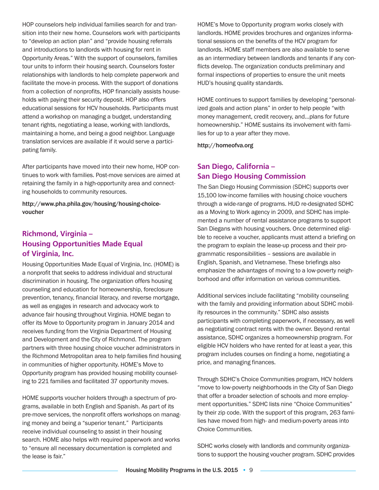HOP counselors help individual families search for and transition into their new home. Counselors work with participants to "develop an action plan" and "provide housing referrals and introductions to landlords with housing for rent in Opportunity Areas." With the support of counselors, families tour units to inform their housing search. Counselors foster relationships with landlords to help complete paperwork and facilitate the move-in process. With the support of donations from a collection of nonprofits, HOP financially assists households with paying their security deposit. HOP also offers educational sessions for HCV households. Participants must attend a workshop on managing a budget, understanding tenant rights, negotiating a lease, working with landlords, maintaining a home, and being a good neighbor. Language translation services are available if it would serve a participating family.

After participants have moved into their new home, HOP continues to work with families. Post-move services are aimed at retaining the family in a high-opportunity area and connecting households to community resources.

http://www.pha.phila.gov/housing/housing-choicevoucher

#### **Richmond, Virginia – Housing Opportunities Made Equal of Virginia, Inc.**

Housing Opportunities Made Equal of Virginia, Inc. (HOME) is a nonprofit that seeks to address individual and structural discrimination in housing. The organization offers housing counseling and education for homeownership, foreclosure prevention, tenancy, financial literacy, and reverse mortgage, as well as engages in research and advocacy work to advance fair housing throughout Virginia. HOME began to offer its Move to Opportunity program in January 2014 and receives funding from the Virginia Department of Housing and Development and the City of Richmond. The program partners with three housing choice voucher administrators in the Richmond Metropolitan area to help families find housing in communities of higher opportunity. HOME's Move to Opportunity program has provided housing mobility counseling to 221 families and facilitated 37 opportunity moves.

HOME supports voucher holders through a spectrum of programs, available in both English and Spanish. As part of its pre-move services, the nonprofit offers workshops on managing money and being a "superior tenant." Participants receive individual counseling to assist in their housing search. HOME also helps with required paperwork and works to "ensure all necessary documentation is completed and the lease is fair."

HOME's Move to Opportunity program works closely with landlords. HOME provides brochures and organizes informational sessions on the benefits of the HCV program for landlords. HOME staff members are also available to serve as an intermediary between landlords and tenants if any conflicts develop. The organization conducts preliminary and formal inspections of properties to ensure the unit meets HUD's housing quality standards.

HOME continues to support families by developing "personalized goals and action plans" in order to help people "with money management, credit recovery, and…plans for future homeownership." HOME sustains its involvement with families for up to a year after they move.

http://homeofva.org

### **San Diego, California – San Diego Housing Commission**

The San Diego Housing Commission (SDHC) supports over 15,100 low-income families with housing choice vouchers through a wide-range of programs. HUD re-designated SDHC as a Moving to Work agency in 2009, and SDHC has implemented a number of rental assistance programs to support San Diegans with housing vouchers. Once determined eligible to receive a voucher, applicants must attend a briefing on the program to explain the lease-up process and their programmatic responsibilities – sessions are available in English, Spanish, and Vietnamese. These briefings also emphasize the advantages of moving to a low-poverty neighborhood and offer information on various communities.

Additional services include facilitating "mobility counseling with the family and providing information about SDHC mobility resources in the community." SDHC also assists participants with completing paperwork, if necessary, as well as negotiating contract rents with the owner. Beyond rental assistance, SDHC organizes a homeownership program. For eligible HCV holders who have rented for at least a year, this program includes courses on finding a home, negotiating a price, and managing finances.

Through SDHC's Choice Communities program, HCV holders "move to low-poverty neighborhoods in the City of San Diego that offer a broader selection of schools and more employment opportunities." SDHC lists nine "Choice Communities" by their zip code. With the support of this program, 263 families have moved from high- and medium-poverty areas into Choice Communities.

SDHC works closely with landlords and community organizations to support the housing voucher program. SDHC provides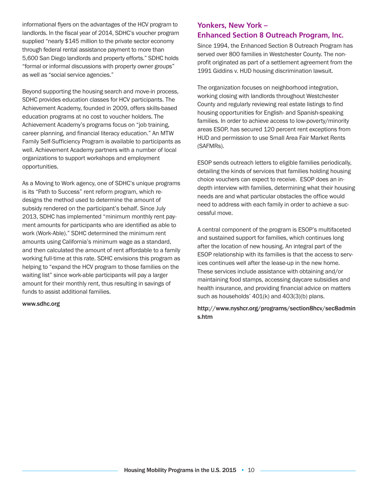informational flyers on the advantages of the HCV program to landlords. In the fiscal year of 2014, SDHC's voucher program supplied "nearly \$145 million to the private sector economy through federal rental assistance payment to more than 5,600 San Diego landlords and property efforts." SDHC holds "formal or informal discussions with property owner groups" as well as "social service agencies."

Beyond supporting the housing search and move-in process, SDHC provides education classes for HCV participants. The Achievement Academy, founded in 2009, offers skills-based education programs at no cost to voucher holders. The Achievement Academy's programs focus on "job training, career planning, and financial literacy education." An MTW Family Self-Sufficiency Program is available to participants as well. Achievement Academy partners with a number of local organizations to support workshops and employment opportunities.

As a Moving to Work agency, one of SDHC's unique programs is its "Path to Success" rent reform program, which redesigns the method used to determine the amount of subsidy rendered on the participant's behalf. Since July 2013, SDHC has implemented "minimum monthly rent payment amounts for participants who are identified as able to work (Work-Able)." SDHC determined the minimum rent amounts using California's minimum wage as a standard, and then calculated the amount of rent affordable to a family working full-time at this rate. SDHC envisions this program as helping to "expand the HCV program to those families on the waiting list" since work-able participants will pay a larger amount for their monthly rent, thus resulting in savings of funds to assist additional families.

#### www.sdhc.org

#### **Yonkers, New York – Enhanced Section 8 Outreach Program, Inc.**

Since 1994, the Enhanced Section 8 Outreach Program has served over 800 families in Westchester County. The nonprofit originated as part of a settlement agreement from the 1991 Giddins v. HUD housing discrimination lawsuit.

The organization focuses on neighborhood integration, working closing with landlords throughout Westchester County and regularly reviewing real estate listings to find housing opportunities for English- and Spanish-speaking families. In order to achieve access to low-poverty/minority areas ESOP, has secured 120 percent rent exceptions from HUD and permission to use Small Area Fair Market Rents (SAFMRs).

ESOP sends outreach letters to eligible families periodically, detailing the kinds of services that families holding housing choice vouchers can expect to receive. ESOP does an indepth interview with families, determining what their housing needs are and what particular obstacles the office would need to address with each family in order to achieve a successful move.

A central component of the program is ESOP's multifaceted and sustained support for families, which continues long after the location of new housing. An integral part of the ESOP relationship with its families is that the access to services continues well after the lease-up in the new home. These services include assistance with obtaining and/or maintaining food stamps, accessing daycare subsidies and health insurance, and providing financial advice on matters such as households' 401(k) and 403(3)(b) plans.

#### http://www.nyshcr.org/programs/section8hcv/sec8admin s.htm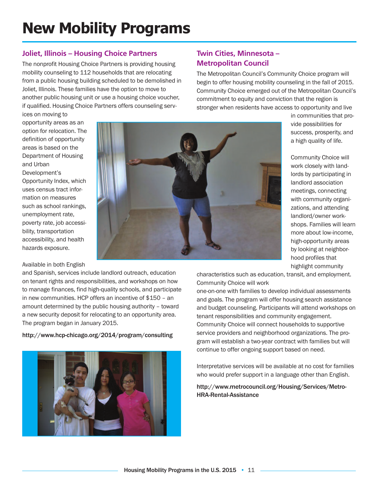## **New Mobility Programs**

#### **Joliet, Illinois – Housing Choice Partners**

The nonprofit Housing Choice Partners is providing housing mobility counseling to 112 households that are relocating from a public housing building scheduled to be demolished in Joliet, Illinois. These families have the option to move to another public housing unit or use a housing choice voucher, if qualified. Housing Choice Partners offers counseling serv**Twin Cities, Minnesota – Metropolitan Council**

The Metropolitan Council's Community Choice program will begin to offer housing mobility counseling in the fall of 2015. Community Choice emerged out of the Metropolitan Council's commitment to equity and conviction that the region is stronger when residents have access to opportunity and live

ices on moving to opportunity areas as an option for relocation. The definition of opportunity areas is based on the Department of Housing and Urban

Development's Opportunity Index, which uses census tract information on measures such as school rankings, unemployment rate, poverty rate, job accessibility, transportation accessibility, and health hazards exposure.

#### Available in both English

and Spanish, services include landlord outreach, education on tenant rights and responsibilities, and workshops on how to manage finances, find high-quality schools, and participate in new communities. HCP offers an incentive of \$150 – an amount determined by the public housing authority – toward a new security deposit for relocating to an opportunity area. The program began in January 2015.

#### http://www.hcp-chicago.org/2014/program/consulting





in communities that provide possibilities for success, prosperity, and a high quality of life.

Community Choice will work closely with landlords by participating in landlord association meetings, connecting with community organizations, and attending landlord/owner workshops. Families will learn more about low-income, high-opportunity areas by looking at neighborhood profiles that highlight community

characteristics such as education, transit, and employment. Community Choice will work

one-on-one with families to develop individual assessments and goals. The program will offer housing search assistance and budget counseling. Participants will attend workshops on tenant responsibilities and community engagement. Community Choice will connect households to supportive service providers and neighborhood organizations. The program will establish a two-year contract with families but will continue to offer ongoing support based on need.

Interpretative services will be available at no cost for families who would prefer support in a language other than English.

#### http://www.metrocouncil.org/Housing/Services/Metro-HRA-Rental-Assistance